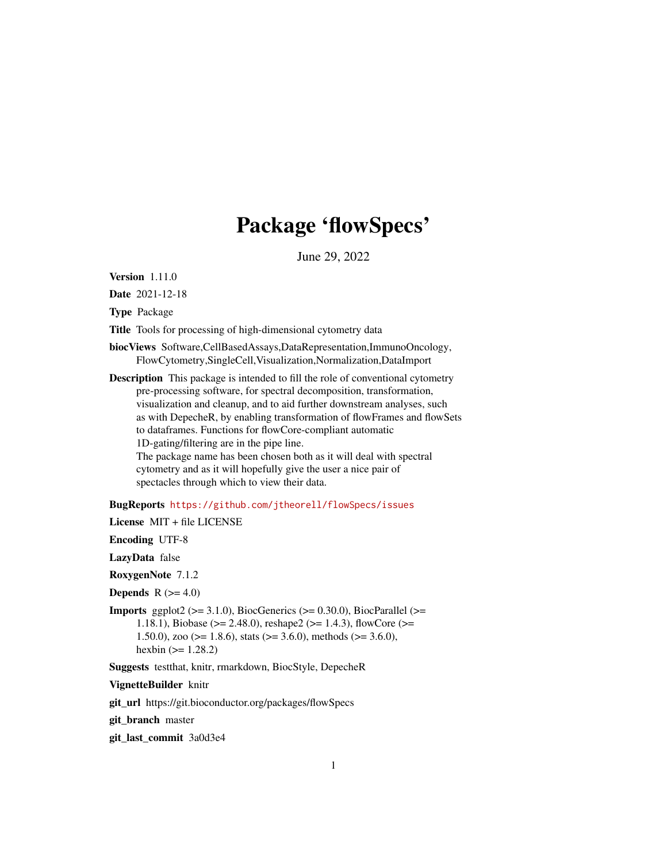## Package 'flowSpecs'

June 29, 2022

<span id="page-0-0"></span>Version 1.11.0

Date 2021-12-18

Type Package

Title Tools for processing of high-dimensional cytometry data

biocViews Software,CellBasedAssays,DataRepresentation,ImmunoOncology, FlowCytometry,SingleCell,Visualization,Normalization,DataImport

Description This package is intended to fill the role of conventional cytometry pre-processing software, for spectral decomposition, transformation, visualization and cleanup, and to aid further downstream analyses, such as with DepecheR, by enabling transformation of flowFrames and flowSets to dataframes. Functions for flowCore-compliant automatic 1D-gating/filtering are in the pipe line. The package name has been chosen both as it will deal with spectral cytometry and as it will hopefully give the user a nice pair of spectacles through which to view their data.

BugReports <https://github.com/jtheorell/flowSpecs/issues>

License MIT + file LICENSE

Encoding UTF-8

LazyData false

RoxygenNote 7.1.2

**Depends**  $R$  ( $>= 4.0$ )

**Imports** ggplot2 ( $> = 3.1.0$ ), BiocGenerics ( $> = 0.30.0$ ), BiocParallel ( $> =$ 1.18.1), Biobase (>= 2.48.0), reshape2 (>= 1.4.3), flowCore (>= 1.50.0), zoo ( $>= 1.8.6$ ), stats ( $>= 3.6.0$ ), methods ( $>= 3.6.0$ ), hexbin  $(>= 1.28.2)$ 

Suggests testthat, knitr, rmarkdown, BiocStyle, DepecheR

VignetteBuilder knitr

git\_url https://git.bioconductor.org/packages/flowSpecs

git\_branch master

git\_last\_commit 3a0d3e4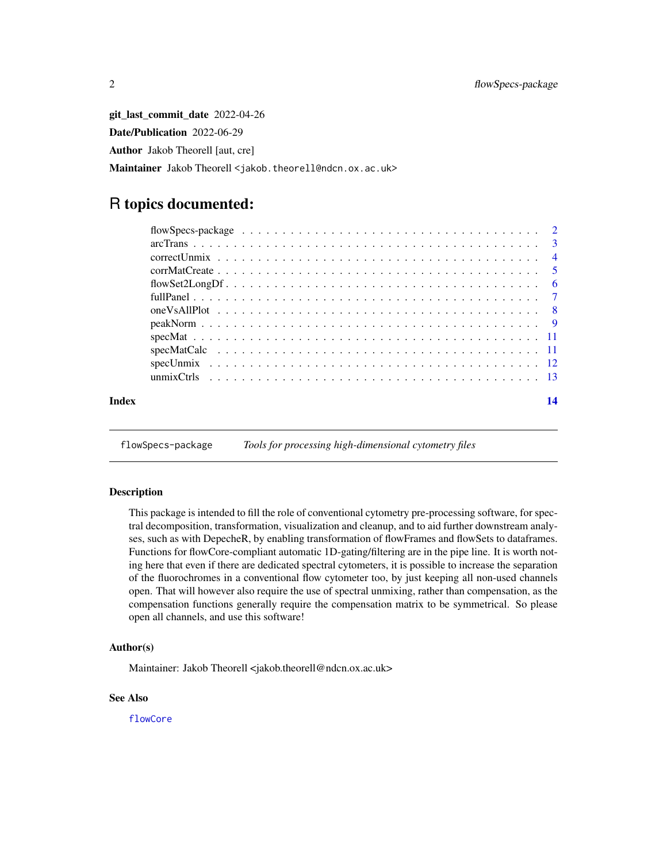<span id="page-1-0"></span>git\_last\_commit\_date 2022-04-26 Date/Publication 2022-06-29 Author Jakob Theorell [aut, cre] Maintainer Jakob Theorell <jakob.theorell@ndcn.ox.ac.uk>

### R topics documented:

| Index | 14 |
|-------|----|

flowSpecs-package *Tools for processing high-dimensional cytometry files*

#### Description

This package is intended to fill the role of conventional cytometry pre-processing software, for spectral decomposition, transformation, visualization and cleanup, and to aid further downstream analyses, such as with DepecheR, by enabling transformation of flowFrames and flowSets to dataframes. Functions for flowCore-compliant automatic 1D-gating/filtering are in the pipe line. It is worth noting here that even if there are dedicated spectral cytometers, it is possible to increase the separation of the fluorochromes in a conventional flow cytometer too, by just keeping all non-used channels open. That will however also require the use of spectral unmixing, rather than compensation, as the compensation functions generally require the compensation matrix to be symmetrical. So please open all channels, and use this software!

#### Author(s)

Maintainer: Jakob Theorell <jakob.theorell@ndcn.ox.ac.uk>

#### See Also

[flowCore](#page-0-0)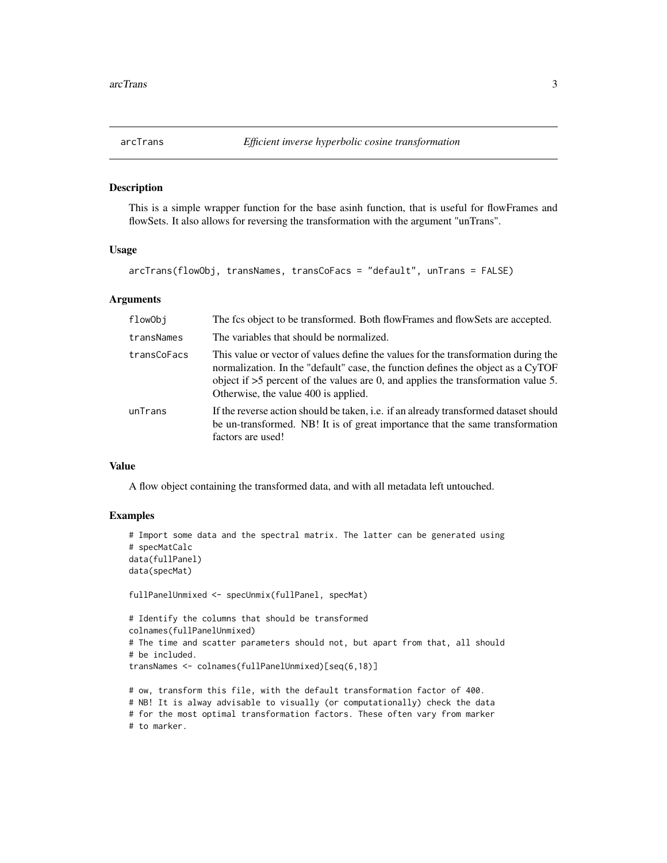<span id="page-2-1"></span><span id="page-2-0"></span>

#### Description

This is a simple wrapper function for the base asinh function, that is useful for flowFrames and flowSets. It also allows for reversing the transformation with the argument "unTrans".

#### Usage

arcTrans(flowObj, transNames, transCoFacs = "default", unTrans = FALSE)

#### Arguments

| flowObj     | The fcs object to be transformed. Both flowFrames and flowSets are accepted.                                                                                                                                                                                                                          |
|-------------|-------------------------------------------------------------------------------------------------------------------------------------------------------------------------------------------------------------------------------------------------------------------------------------------------------|
| transNames  | The variables that should be normalized.                                                                                                                                                                                                                                                              |
| transCoFacs | This value or vector of values define the values for the transformation during the<br>normalization. In the "default" case, the function defines the object as a CyTOF<br>object if $>5$ percent of the values are 0, and applies the transformation value 5.<br>Otherwise, the value 400 is applied. |
| unTrans     | If the reverse action should be taken, i.e. if an already transformed dataset should<br>be un-transformed. NB! It is of great importance that the same transformation<br>factors are used!                                                                                                            |

#### Value

A flow object containing the transformed data, and with all metadata left untouched.

#### Examples

```
# Import some data and the spectral matrix. The latter can be generated using
# specMatCalc
data(fullPanel)
data(specMat)
fullPanelUnmixed <- specUnmix(fullPanel, specMat)
# Identify the columns that should be transformed
colnames(fullPanelUnmixed)
# The time and scatter parameters should not, but apart from that, all should
# be included.
transNames <- colnames(fullPanelUnmixed)[seq(6,18)]
# ow, transform this file, with the default transformation factor of 400.
# NB! It is alway advisable to visually (or computationally) check the data
```

```
# for the most optimal transformation factors. These often vary from marker
# to marker.
```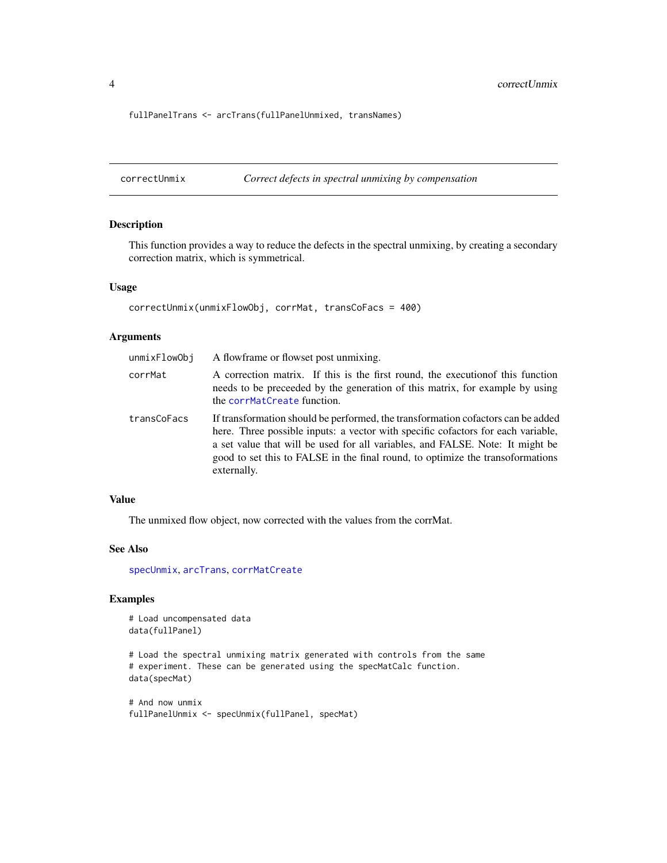<span id="page-3-0"></span>4 correctUnmix

fullPanelTrans <- arcTrans(fullPanelUnmixed, transNames)

<span id="page-3-1"></span>correctUnmix *Correct defects in spectral unmixing by compensation*

#### Description

This function provides a way to reduce the defects in the spectral unmixing, by creating a secondary correction matrix, which is symmetrical.

#### Usage

```
correctUnmix(unmixFlowObj, corrMat, transCoFacs = 400)
```
#### Arguments

| unmixFlowObj | A flowframe or flowset post unmixing.                                                                                                                                                                                                                                                                                                                  |
|--------------|--------------------------------------------------------------------------------------------------------------------------------------------------------------------------------------------------------------------------------------------------------------------------------------------------------------------------------------------------------|
| corrMat      | A correction matrix. If this is the first round, the execution of this function<br>needs to be preceded by the generation of this matrix, for example by using<br>the corrMatCreate function.                                                                                                                                                          |
| transCoFacs  | If transformation should be performed, the transformation cofactors can be added<br>here. Three possible inputs: a vector with specific cofactors for each variable,<br>a set value that will be used for all variables, and FALSE. Note: It might be<br>good to set this to FALSE in the final round, to optimize the transoformations<br>externally. |

#### Value

The unmixed flow object, now corrected with the values from the corrMat.

#### See Also

[specUnmix](#page-11-1), [arcTrans](#page-2-1), [corrMatCreate](#page-4-1)

#### Examples

```
# Load uncompensated data
data(fullPanel)
```

```
# Load the spectral unmixing matrix generated with controls from the same
# experiment. These can be generated using the specMatCalc function.
data(specMat)
```

```
# And now unmix
fullPanelUnmix <- specUnmix(fullPanel, specMat)
```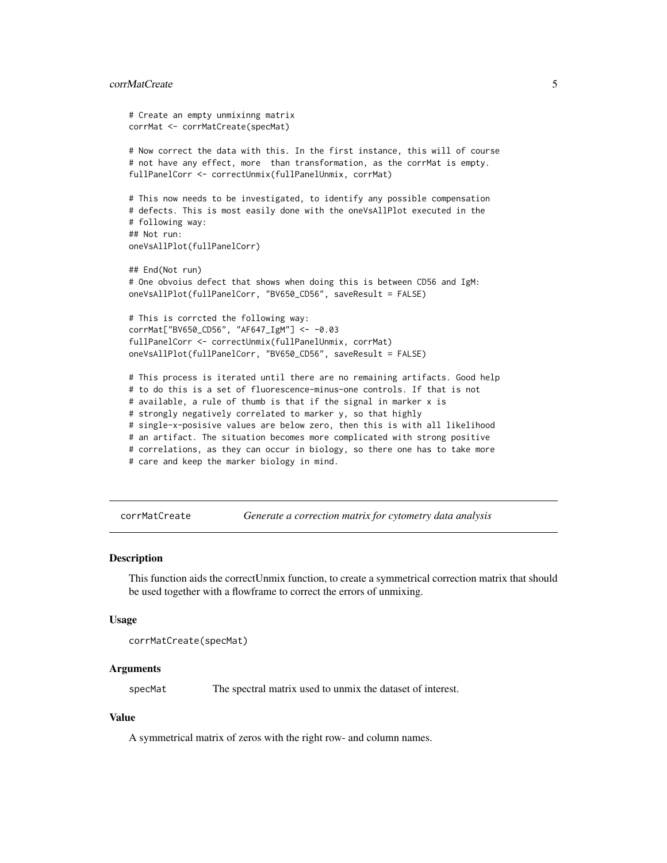#### <span id="page-4-0"></span>corrMatCreate 5

```
# Create an empty unmixinng matrix
corrMat <- corrMatCreate(specMat)
# Now correct the data with this. In the first instance, this will of course
# not have any effect, more than transformation, as the corrMat is empty.
fullPanelCorr <- correctUnmix(fullPanelUnmix, corrMat)
# This now needs to be investigated, to identify any possible compensation
# defects. This is most easily done with the oneVsAllPlot executed in the
# following way:
## Not run:
oneVsAllPlot(fullPanelCorr)
## End(Not run)
# One obvoius defect that shows when doing this is between CD56 and IgM:
oneVsAllPlot(fullPanelCorr, "BV650_CD56", saveResult = FALSE)
# This is corrcted the following way:
corrMat["BV650_CD56", "AF647_IgM"] <- -0.03
fullPanelCorr <- correctUnmix(fullPanelUnmix, corrMat)
oneVsAllPlot(fullPanelCorr, "BV650_CD56", saveResult = FALSE)
# This process is iterated until there are no remaining artifacts. Good help
# to do this is a set of fluorescence-minus-one controls. If that is not
# available, a rule of thumb is that if the signal in marker x is
# strongly negatively correlated to marker y, so that highly
# single-x-posisive values are below zero, then this is with all likelihood
# an artifact. The situation becomes more complicated with strong positive
# correlations, as they can occur in biology, so there one has to take more
# care and keep the marker biology in mind.
```
<span id="page-4-1"></span>corrMatCreate *Generate a correction matrix for cytometry data analysis*

#### Description

This function aids the correctUnmix function, to create a symmetrical correction matrix that should be used together with a flowframe to correct the errors of unmixing.

#### Usage

corrMatCreate(specMat)

#### Arguments

specMat The spectral matrix used to unmix the dataset of interest.

#### Value

A symmetrical matrix of zeros with the right row- and column names.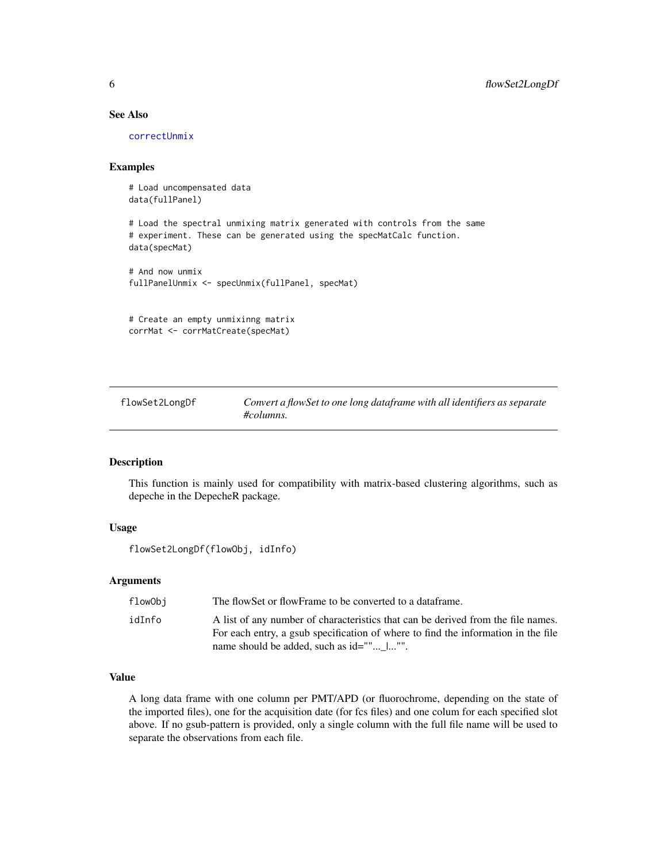#### See Also

[correctUnmix](#page-3-1)

#### Examples

# Load uncompensated data data(fullPanel)

# Load the spectral unmixing matrix generated with controls from the same # experiment. These can be generated using the specMatCalc function. data(specMat)

```
# And now unmix
fullPanelUnmix <- specUnmix(fullPanel, specMat)
```
# Create an empty unmixinng matrix corrMat <- corrMatCreate(specMat)

flowSet2LongDf *Convert a flowSet to one long dataframe with all identifiers as separate #columns.*

#### Description

This function is mainly used for compatibility with matrix-based clustering algorithms, such as depeche in the DepecheR package.

#### Usage

```
flowSet2LongDf(flowObj, idInfo)
```
#### Arguments

| flowObi | The flowSet or flowFrame to be converted to a dataframe.                          |
|---------|-----------------------------------------------------------------------------------|
| idInfo  | A list of any number of characteristics that can be derived from the file names.  |
|         | For each entry, a gsub specification of where to find the information in the file |
|         | name should be added, such as id=""  "".                                          |

#### Value

A long data frame with one column per PMT/APD (or fluorochrome, depending on the state of the imported files), one for the acquisition date (for fcs files) and one colum for each specified slot above. If no gsub-pattern is provided, only a single column with the full file name will be used to separate the observations from each file.

<span id="page-5-0"></span>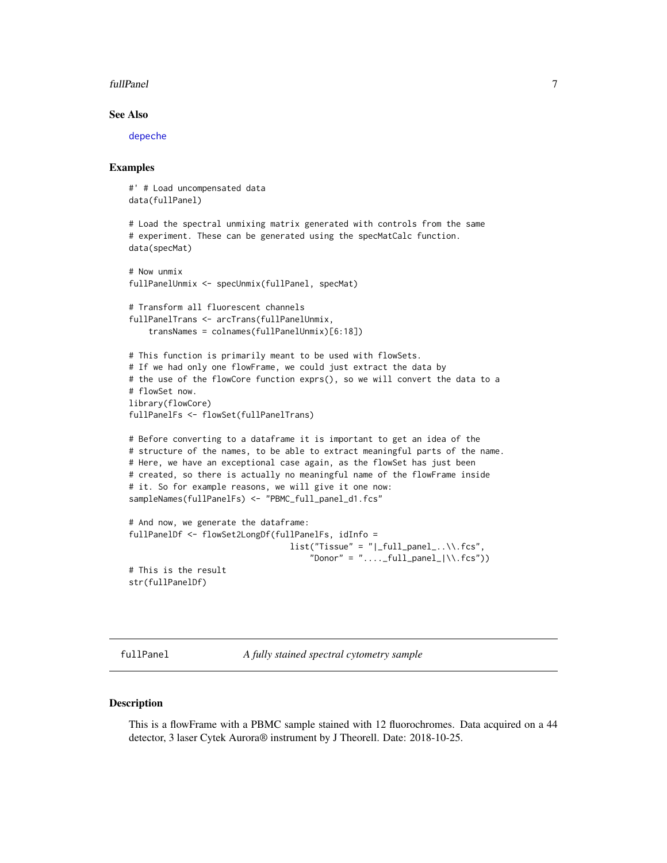#### <span id="page-6-0"></span>fullPanel 7 and 7 and 7 and 7 and 7 and 7 and 7 and 7 and 7 and 7 and 7 and 7 and 7 and 7 and 7 and 7 and 7 and 7 and 7 and 7 and 7 and 7 and 7 and 7 and 7 and 7 and 7 and 7 and 7 and 7 and 7 and 7 and 7 and 7 and 7 and 7

#### See Also

[depeche](#page-0-0)

#### Examples

#' # Load uncompensated data data(fullPanel)

```
# Load the spectral unmixing matrix generated with controls from the same
# experiment. These can be generated using the specMatCalc function.
data(specMat)
```

```
# Now unmix
fullPanelUnmix <- specUnmix(fullPanel, specMat)
```

```
# Transform all fluorescent channels
fullPanelTrans <- arcTrans(fullPanelUnmix,
   transNames = colnames(fullPanelUnmix)[6:18])
```

```
# This function is primarily meant to be used with flowSets.
# If we had only one flowFrame, we could just extract the data by
# the use of the flowCore function exprs(), so we will convert the data to a
# flowSet now.
library(flowCore)
fullPanelFs <- flowSet(fullPanelTrans)
```

```
# Before converting to a dataframe it is important to get an idea of the
# structure of the names, to be able to extract meaningful parts of the name.
# Here, we have an exceptional case again, as the flowSet has just been
# created, so there is actually no meaningful name of the flowFrame inside
# it. So for example reasons, we will give it one now:
sampleNames(fullPanelFs) <- "PBMC_full_panel_d1.fcs"
```

```
# And now, we generate the dataframe:
fullPanelDf <- flowSet2LongDf(fullPanelFs, idInfo =
                                   list("Tissue" = "|\_full\_panel... \\\cdot....
                                       "Donor" = "\dots-full_panel_|\wedge f(s)|# This is the result
str(fullPanelDf)
```
fullPanel *A fully stained spectral cytometry sample*

#### Description

This is a flowFrame with a PBMC sample stained with 12 fluorochromes. Data acquired on a 44 detector, 3 laser Cytek Aurora® instrument by J Theorell. Date: 2018-10-25.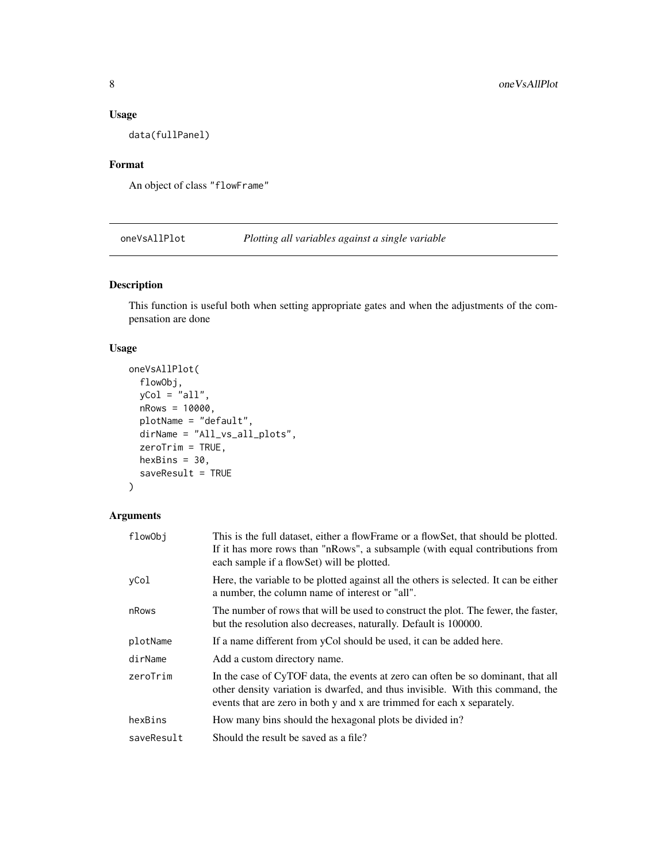#### <span id="page-7-0"></span>Usage

data(fullPanel)

#### Format

An object of class "flowFrame"

oneVsAllPlot *Plotting all variables against a single variable*

#### Description

This function is useful both when setting appropriate gates and when the adjustments of the compensation are done

#### Usage

```
oneVsAllPlot(
  flowObj,
 yCol = "all",nRows = 10000,
 plotName = "default",
  dirName = "All_vs_all_plots",
 zeroTrim = TRUE,
 hexBins = 30,
  saveResult = TRUE
\mathcal{L}
```
#### Arguments

| flowObj    | This is the full dataset, either a flowFrame or a flowSet, that should be plotted.<br>If it has more rows than "nRows", a subsample (with equal contributions from<br>each sample if a flowSet) will be plotted.                              |
|------------|-----------------------------------------------------------------------------------------------------------------------------------------------------------------------------------------------------------------------------------------------|
| vCol       | Here, the variable to be plotted against all the others is selected. It can be either<br>a number, the column name of interest or "all".                                                                                                      |
| nRows      | The number of rows that will be used to construct the plot. The fewer, the faster,<br>but the resolution also decreases, naturally. Default is 100000.                                                                                        |
| plotName   | If a name different from yCol should be used, it can be added here.                                                                                                                                                                           |
| dirName    | Add a custom directory name.                                                                                                                                                                                                                  |
| zeroTrim   | In the case of CyTOF data, the events at zero can often be so dominant, that all<br>other density variation is dwarfed, and thus invisible. With this command, the<br>events that are zero in both y and x are trimmed for each x separately. |
| hexBins    | How many bins should the hexagonal plots be divided in?                                                                                                                                                                                       |
| saveResult | Should the result be saved as a file?                                                                                                                                                                                                         |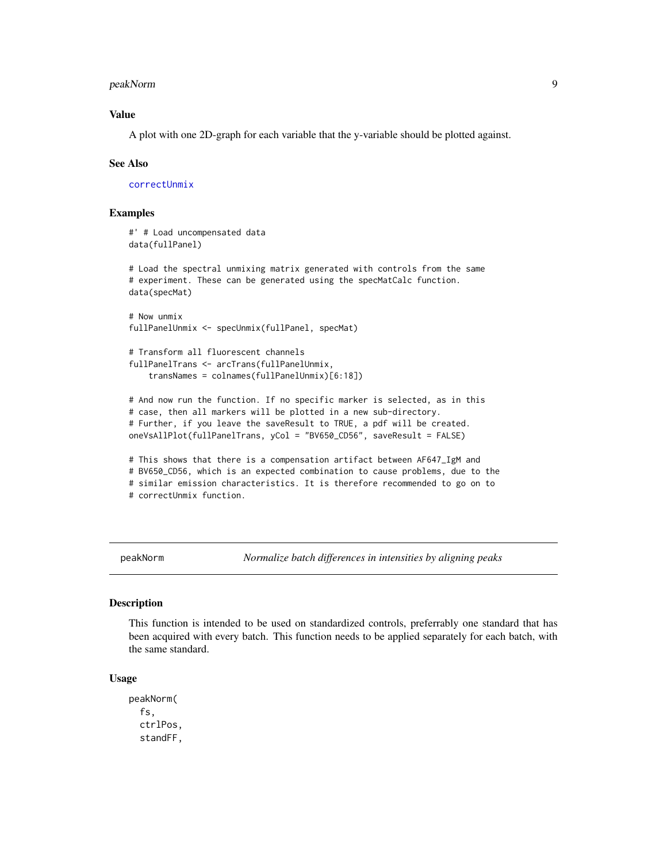#### <span id="page-8-0"></span>peakNorm 9

#### Value

A plot with one 2D-graph for each variable that the y-variable should be plotted against.

#### See Also

[correctUnmix](#page-3-1)

#### Examples

```
#' # Load uncompensated data
data(fullPanel)
# Load the spectral unmixing matrix generated with controls from the same
# experiment. These can be generated using the specMatCalc function.
data(specMat)
# Now unmix
fullPanelUnmix <- specUnmix(fullPanel, specMat)
# Transform all fluorescent channels
fullPanelTrans <- arcTrans(fullPanelUnmix,
    transNames = colnames(fullPanelUnmix)[6:18])
# And now run the function. If no specific marker is selected, as in this
# case, then all markers will be plotted in a new sub-directory.
# Further, if you leave the saveResult to TRUE, a pdf will be created.
oneVsAllPlot(fullPanelTrans, yCol = "BV650_CD56", saveResult = FALSE)
# This shows that there is a compensation artifact between AF647_IgM and
# BV650_CD56, which is an expected combination to cause problems, due to the
# similar emission characteristics. It is therefore recommended to go on to
```
# correctUnmix function.

peakNorm *Normalize batch differences in intensities by aligning peaks*

#### **Description**

This function is intended to be used on standardized controls, preferrably one standard that has been acquired with every batch. This function needs to be applied separately for each batch, with the same standard.

#### Usage

peakNorm( fs, ctrlPos, standFF,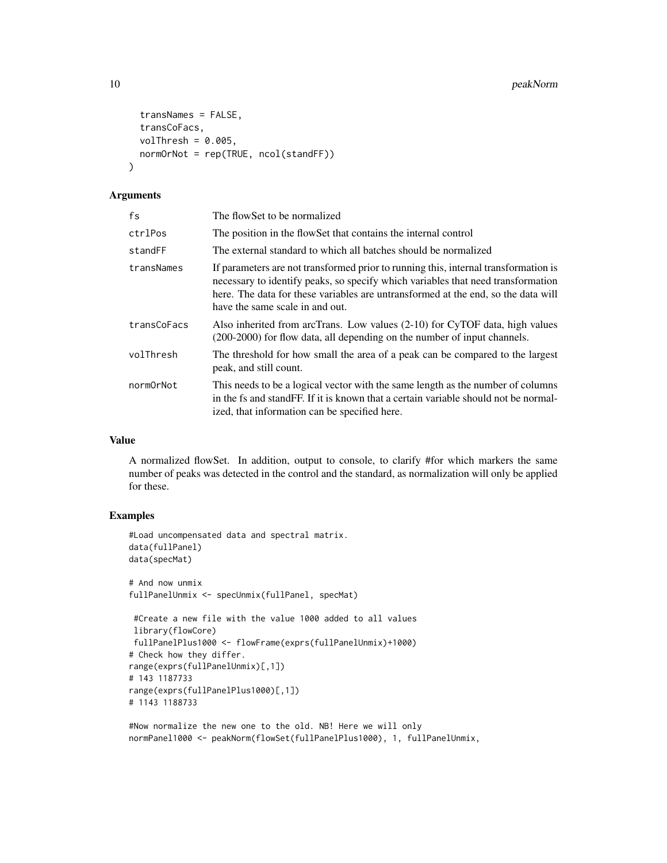```
transNames = FALSE,
  transCoFacs,
 volThresh = 0.005,
 normOrNot = rep(TRUE, ncol(standFF))
\lambda
```
#### Arguments

| fs          | The flowSet to be normalized                                                                                                                                                                                                                                                                    |
|-------------|-------------------------------------------------------------------------------------------------------------------------------------------------------------------------------------------------------------------------------------------------------------------------------------------------|
| ctrlPos     | The position in the flowSet that contains the internal control                                                                                                                                                                                                                                  |
| standFF     | The external standard to which all batches should be normalized                                                                                                                                                                                                                                 |
| transNames  | If parameters are not transformed prior to running this, internal transformation is<br>necessary to identify peaks, so specify which variables that need transformation<br>here. The data for these variables are untransformed at the end, so the data will<br>have the same scale in and out. |
| transCoFacs | Also inherited from arcTrans. Low values $(2-10)$ for CyTOF data, high values<br>(200-2000) for flow data, all depending on the number of input channels.                                                                                                                                       |
| volThresh   | The threshold for how small the area of a peak can be compared to the largest<br>peak, and still count.                                                                                                                                                                                         |
| normOrNot   | This needs to be a logical vector with the same length as the number of columns<br>in the fs and stand FF. If it is known that a certain variable should not be normal-<br>ized, that information can be specified here.                                                                        |

#### Value

A normalized flowSet. In addition, output to console, to clarify #for which markers the same number of peaks was detected in the control and the standard, as normalization will only be applied for these.

#### Examples

```
#Load uncompensated data and spectral matrix.
data(fullPanel)
data(specMat)
# And now unmix
fullPanelUnmix <- specUnmix(fullPanel, specMat)
#Create a new file with the value 1000 added to all values
library(flowCore)
fullPanelPlus1000 <- flowFrame(exprs(fullPanelUnmix)+1000)
# Check how they differ.
range(exprs(fullPanelUnmix)[,1])
# 143 1187733
range(exprs(fullPanelPlus1000)[,1])
# 1143 1188733
```

```
#Now normalize the new one to the old. NB! Here we will only
normPanel1000 <- peakNorm(flowSet(fullPanelPlus1000), 1, fullPanelUnmix,
```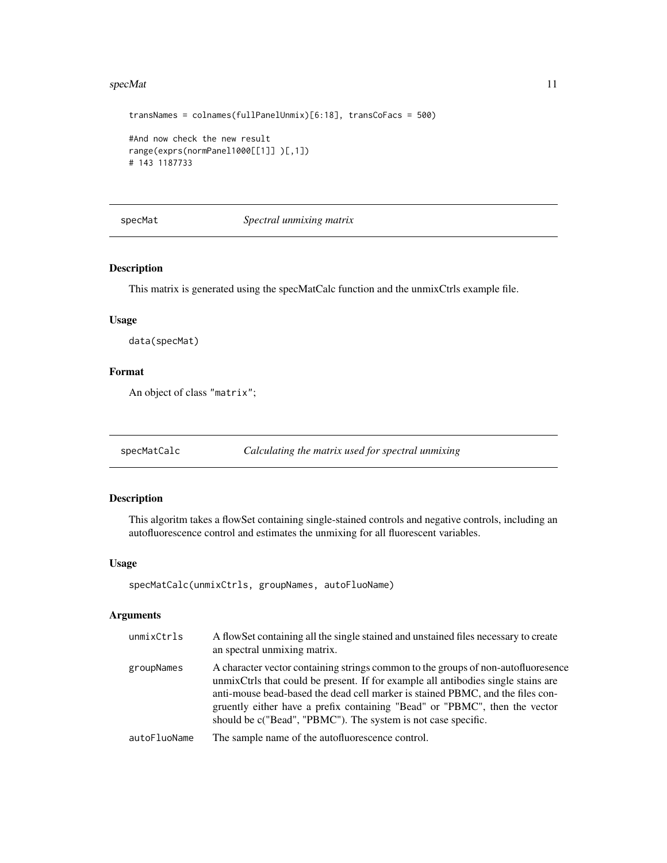#### <span id="page-10-0"></span>specMat 11

```
transNames = colnames(fullPanelUnmix)[6:18], transCoFacs = 500)
#And now check the new result
range(exprs(normPanel1000[[1]] )[,1])
# 143 1187733
```
specMat *Spectral unmixing matrix*

#### Description

This matrix is generated using the specMatCalc function and the unmixCtrls example file.

#### Usage

data(specMat)

#### Format

An object of class "matrix";

specMatCalc *Calculating the matrix used for spectral unmixing*

#### Description

This algoritm takes a flowSet containing single-stained controls and negative controls, including an autofluorescence control and estimates the unmixing for all fluorescent variables.

#### Usage

```
specMatCalc(unmixCtrls, groupNames, autoFluoName)
```
#### Arguments

| unmixCtrls   | A flowSet containing all the single stained and unstained files necessary to create<br>an spectral unmixing matrix.                                                                                                                                                                                                                                                                                      |
|--------------|----------------------------------------------------------------------------------------------------------------------------------------------------------------------------------------------------------------------------------------------------------------------------------------------------------------------------------------------------------------------------------------------------------|
| groupNames   | A character vector containing strings common to the groups of non-autofluoresence<br>unmix Ctrls that could be present. If for example all antibodies single stains are<br>anti-mouse bead-based the dead cell marker is stained PBMC, and the files con-<br>gruently either have a prefix containing "Bead" or "PBMC", then the vector<br>should be c("Bead", "PBMC"). The system is not case specific. |
| autoFluoName | The sample name of the autofluorescence control.                                                                                                                                                                                                                                                                                                                                                         |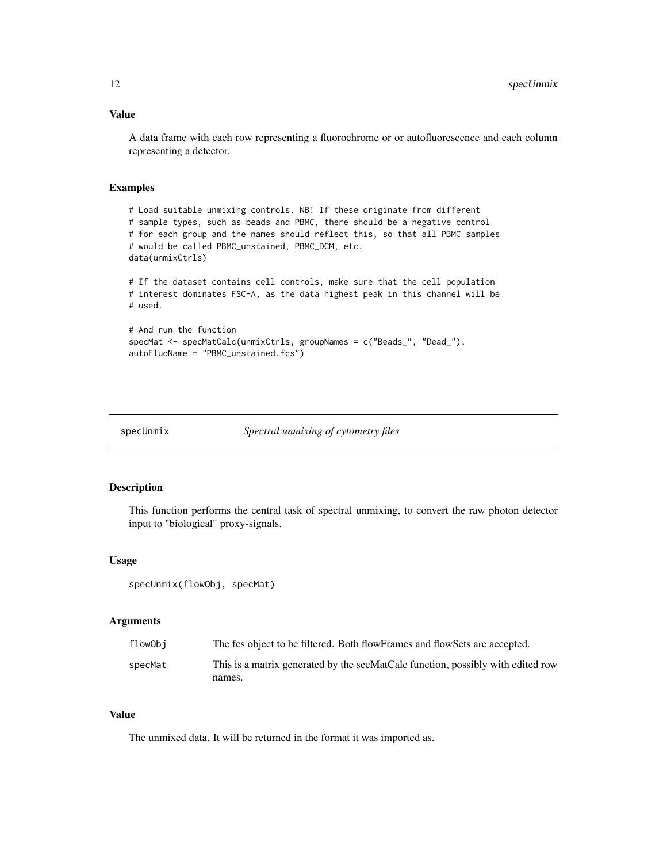#### <span id="page-11-0"></span>Value

A data frame with each row representing a fluorochrome or or autofluorescence and each column representing a detector.

#### Examples

```
# Load suitable unmixing controls. NB! If these originate from different
# sample types, such as beads and PBMC, there should be a negative control
# for each group and the names should reflect this, so that all PBMC samples
# would be called PBMC_unstained, PBMC_DCM, etc.
data(unmixCtrls)
# If the dataset contains cell controls, make sure that the cell population
# interest dominates FSC-A, as the data highest peak in this channel will be
# used.
# And run the function
specMat <- specMatCalc(unmixCtrls, groupNames = c("Beads_", "Dead_"),
autoFluoName = "PBMC_unstained.fcs")
```

```
specUnmix Spectral unmixing of cytometry files
```
#### Description

This function performs the central task of spectral unmixing, to convert the raw photon detector input to "biological" proxy-signals.

#### Usage

```
specUnmix(flowObj, specMat)
```
#### **Arguments**

| flowObi | The fcs object to be filtered. Both flowFrames and flowSets are accepted.       |
|---------|---------------------------------------------------------------------------------|
| specMat | This is a matrix generated by the secMatCalc function, possibly with edited row |
|         | names.                                                                          |

#### Value

The unmixed data. It will be returned in the format it was imported as.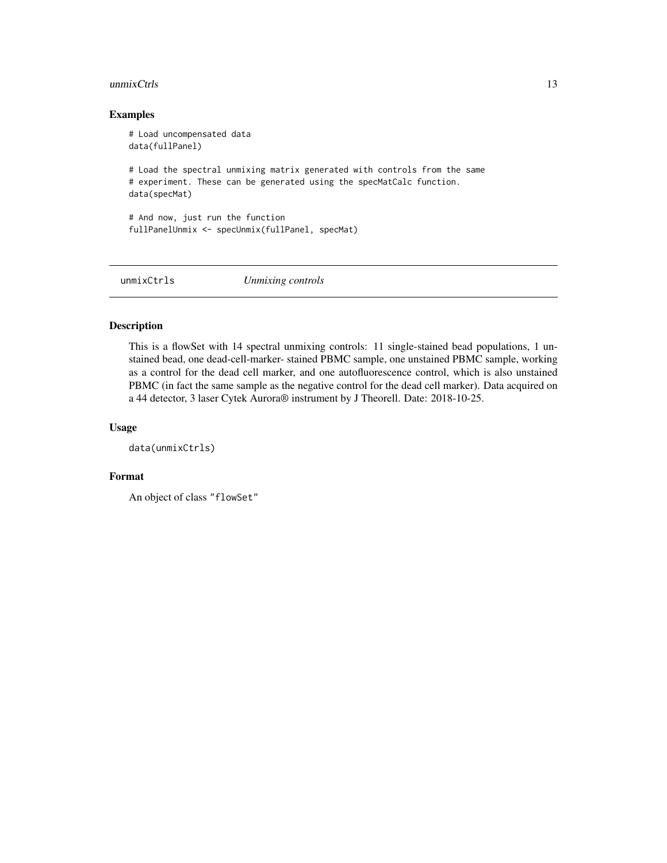#### <span id="page-12-0"></span> $\mu$ unmixCtrls  $\qquad \qquad$  13

#### Examples

```
# Load uncompensated data
data(fullPanel)
# Load the spectral unmixing matrix generated with controls from the same
# experiment. These can be generated using the specMatCalc function.
data(specMat)
# And now, just run the function
fullPanelUnmix <- specUnmix(fullPanel, specMat)
```
unmixCtrls *Unmixing controls*

#### Description

This is a flowSet with 14 spectral unmixing controls: 11 single-stained bead populations, 1 unstained bead, one dead-cell-marker- stained PBMC sample, one unstained PBMC sample, working as a control for the dead cell marker, and one autofluorescence control, which is also unstained PBMC (in fact the same sample as the negative control for the dead cell marker). Data acquired on a 44 detector, 3 laser Cytek Aurora® instrument by J Theorell. Date: 2018-10-25.

#### Usage

```
data(unmixCtrls)
```
#### Format

```
An object of class "flowSet"
```